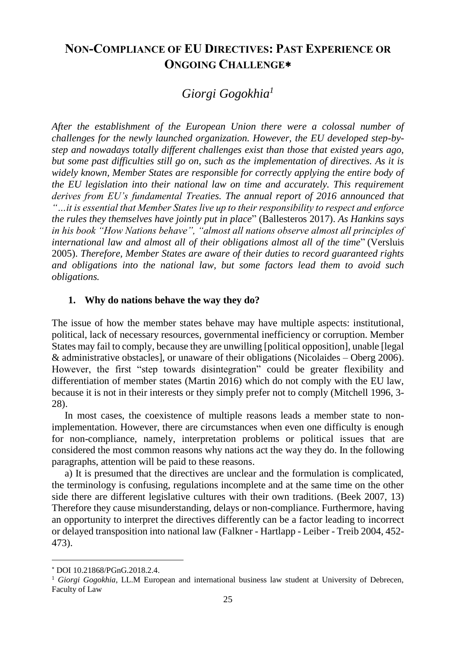# **NON-COMPLIANCE OF EU DIRECTIVES: PAST EXPERIENCE OR ONGOING CHALLENGE**

## *Giorgi Gogokhia<sup>1</sup>*

*After the establishment of the European Union there were a colossal number of challenges for the newly launched organization. However, the EU developed step-bystep and nowadays totally different challenges exist than those that existed years ago, but some past difficulties still go on, such as the implementation of directives. As it is widely known, Member States are responsible for correctly applying the entire body of the EU legislation into their national law on time and accurately. This requirement derives from EU's fundamental Treaties. The annual report of 2016 announced that "…it is essential that Member States live up to their responsibility to respect and enforce the rules they themselves have jointly put in place*" (Ballesteros 2017). *As Hankins says in his book "How Nations behave", "almost all nations observe almost all principles of international law and almost all of their obligations almost all of the time*" (Versluis 2005). *Therefore, Member States are aware of their duties to record guaranteed rights and obligations into the national law, but some factors lead them to avoid such obligations.* 

#### **1. Why do nations behave the way they do?**

The issue of how the member states behave may have multiple aspects: institutional, political, lack of necessary resources, governmental inefficiency or corruption. Member States may fail to comply, because they are unwilling [political opposition], unable [legal & administrative obstacles], or unaware of their obligations (Nicolaides – Oberg 2006). However, the first "step towards disintegration" could be greater flexibility and differentiation of member states (Martin 2016) which do not comply with the EU law, because it is not in their interests or they simply prefer not to comply (Mitchell 1996, 3- 28).

In most cases, the coexistence of multiple reasons leads a member state to nonimplementation. However, there are circumstances when even one difficulty is enough for non-compliance, namely, interpretation problems or political issues that are considered the most common reasons why nations act the way they do. In the following paragraphs, attention will be paid to these reasons.

a) It is presumed that the directives are unclear and the formulation is complicated, the terminology is confusing, regulations incomplete and at the same time on the other side there are different legislative cultures with their own traditions. (Beek 2007, 13) Therefore they cause misunderstanding, delays or non-compliance. Furthermore, having an opportunity to interpret the directives differently can be a factor leading to incorrect or delayed transposition into national law (Falkner - Hartlapp - Leiber - Treib 2004, 452- 473).

l

DOI 10.21868/PGnG.2018.2.4.

<sup>&</sup>lt;sup>1</sup> *Giorgi Gogokhia*, LL.M European and international business law student at University of Debrecen, Faculty of Law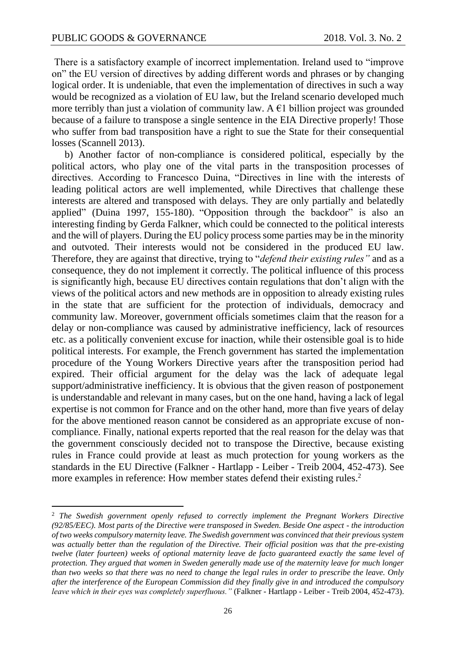l

There is a satisfactory example of incorrect implementation. Ireland used to "improve on" the EU version of directives by adding different words and phrases or by changing logical order. It is undeniable, that even the implementation of directives in such a way would be recognized as a violation of EU law, but the Ireland scenario developed much more terribly than just a violation of community law. A  $\epsilon$ 1 billion project was grounded because of a failure to transpose a single sentence in the EIA Directive properly! Those who suffer from bad transposition have a right to sue the State for their consequential losses (Scannell 2013).

b) Another factor of non-compliance is considered political, especially by the political actors, who play one of the vital parts in the transposition processes of directives. According to Francesco Duina, "Directives in line with the interests of leading political actors are well implemented, while Directives that challenge these interests are altered and transposed with delays. They are only partially and belatedly applied" (Duina 1997, 155-180). "Opposition through the backdoor" is also an interesting finding by Gerda Falkner, which could be connected to the political interests and the will of players. During the EU policy process some parties may be in the minority and outvoted. Their interests would not be considered in the produced EU law. Therefore, they are against that directive, trying to "*defend their existing rules"* and as a consequence, they do not implement it correctly. The political influence of this process is significantly high, because EU directives contain regulations that don't align with the views of the political actors and new methods are in opposition to already existing rules in the state that are sufficient for the protection of individuals, democracy and community law. Moreover, government officials sometimes claim that the reason for a delay or non-compliance was caused by administrative inefficiency, lack of resources etc. as a politically convenient excuse for inaction, while their ostensible goal is to hide political interests. For example, the French government has started the implementation procedure of the Young Workers Directive years after the transposition period had expired. Their official argument for the delay was the lack of adequate legal support/administrative inefficiency. It is obvious that the given reason of postponement is understandable and relevant in many cases, but on the one hand, having a lack of legal expertise is not common for France and on the other hand, more than five years of delay for the above mentioned reason cannot be considered as an appropriate excuse of noncompliance. Finally, national experts reported that the real reason for the delay was that the government consciously decided not to transpose the Directive, because existing rules in France could provide at least as much protection for young workers as the standards in the EU Directive (Falkner - Hartlapp - Leiber - Treib 2004, 452-473). See more examples in reference: How member states defend their existing rules.<sup>2</sup>

<sup>2</sup> *The Swedish government openly refused to correctly implement the Pregnant Workers Directive (92/85/EEC). Most parts of the Directive were transposed in Sweden. Beside One aspect - the introduction of two weeks compulsory maternity leave. The Swedish government was convinced that their previous system was actually better than the regulation of the Directive. Their official position was that the pre-existing twelve (later fourteen) weeks of optional maternity leave de facto guaranteed exactly the same level of protection. They argued that women in Sweden generally made use of the maternity leave for much longer than two weeks so that there was no need to change the legal rules in order to prescribe the leave. Only after the interference of the European Commission did they finally give in and introduced the compulsory leave which in their eyes was completely superfluous."* (Falkner - Hartlapp - Leiber - Treib 2004, 452-473).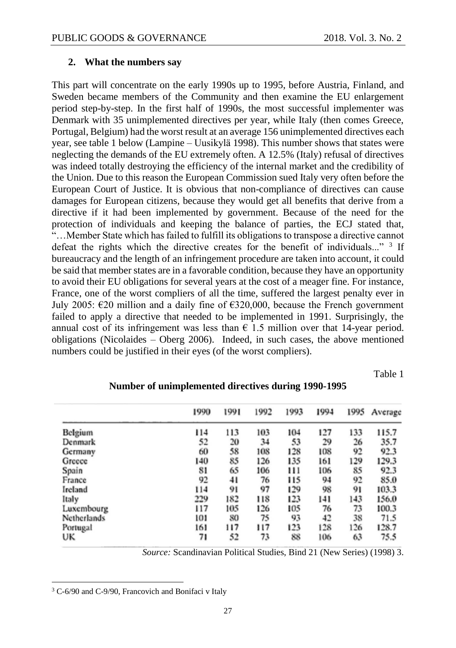#### **2. What the numbers say**

This part will concentrate on the early 1990s up to 1995, before Austria, Finland, and Sweden became members of the Community and then examine the EU enlargement period step-by-step. In the first half of 1990s, the most successful implementer was Denmark with 35 unimplemented directives per year, while Italy (then comes Greece, Portugal, Belgium) had the worst result at an average 156 unimplemented directives each year, see table 1 below (Lampine – Uusikylä 1998). This number shows that states were neglecting the demands of the EU extremely often. A 12.5% (Italy) refusal of directives was indeed totally destroying the efficiency of the internal market and the credibility of the Union. Due to this reason the European Commission sued Italy very often before the European Court of Justice. It is obvious that non-compliance of directives can cause damages for European citizens, because they would get all benefits that derive from a directive if it had been implemented by government. Because of the need for the protection of individuals and keeping the balance of parties, the ECJ stated that, "…Member State which has failed to fulfill its obligations to transpose a directive cannot defeat the rights which the directive creates for the benefit of individuals..." <sup>3</sup> If bureaucracy and the length of an infringement procedure are taken into account, it could be said that member states are in a favorable condition, because they have an opportunity to avoid their EU obligations for several years at the cost of a meager fine. For instance, France, one of the worst compliers of all the time, suffered the largest penalty ever in July 2005:  $\epsilon$ 20 million and a daily fine of  $\epsilon$ 320,000, because the French government failed to apply a directive that needed to be implemented in 1991. Surprisingly, the annual cost of its infringement was less than  $\epsilon$  1.5 million over that 14-year period. obligations (Nicolaides – Oberg 2006). Indeed, in such cases, the above mentioned numbers could be justified in their eyes (of the worst compliers).

Table 1

|                | 1990 | 1991 | 1992 | 1993 | 1994 | 1995 | Average |
|----------------|------|------|------|------|------|------|---------|
| <b>Belgium</b> | 114  | 113  | 103  | 104  | 127  | 133  | 115.7   |
| Denmark        | 52   | 20   | 34   | 53   | 29   | 26   | 35.7    |
| Germany        | 60   | 58   | 108  | 128  | 108  | 92   | 92.3    |
| Greece         | 140  | 85   | 126  | 135  | 161  | 129  | 129.3   |
| Spain          | 81   | 65   | 106  | 111  | 106  | 85   | 92.3    |
| France         | 92   | 41   | 76   | 115  | 94   | 92   | 85.0    |
| Ireland        | 114  | 91   | 97   | 129  | 98   | 91   | 103.3   |
| Italy          | 229  | 182  | 118  | 123  | 141  | 143  | 156.0   |
| Luxembourg     | 117  | 105  | 126  | 105  | 76   | 73   | 100.3   |
| Netherlands    | 101  | 80   | 75   | 93   | 42   | 38   | 71.5    |
| Portugal       | 161  | 117  | 117  | 123  | 128  | 126  | 128.7   |
| UK             | 71   | 52   | 73   | 88   | 106  | 63   | 75.5    |

**Number of unimplemented directives during 1990-1995**

*Source:* Scandinavian Political Studies, Bind 21 (New Series) (1998) 3.

 $\overline{a}$ 

<sup>&</sup>lt;sup>3</sup> C-6/90 and C-9/90, Francovich and Bonifaci v Italy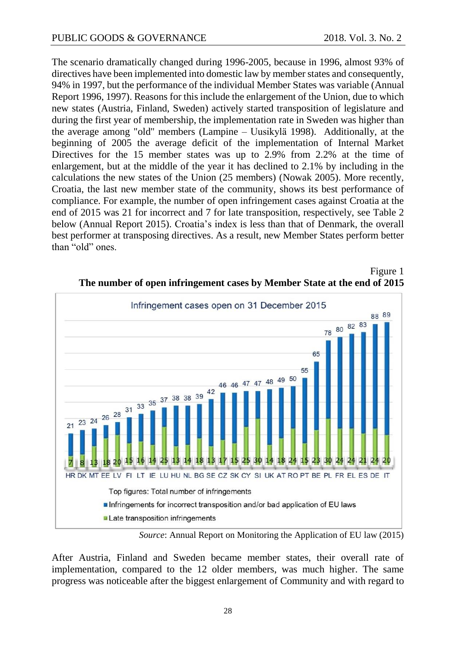The scenario dramatically changed during 1996-2005, because in 1996, almost 93% of directives have been implemented into domestic law by member states and consequently, 94% in 1997, but the performance of the individual Member States was variable (Annual Report 1996, 1997). Reasons for this include the enlargement of the Union, due to which new states (Austria, Finland, Sweden) actively started transposition of legislature and during the first year of membership, the implementation rate in Sweden was higher than the average among "old" members (Lampine – Uusikylä 1998). Additionally, at the beginning of 2005 the average deficit of the implementation of Internal Market Directives for the 15 member states was up to 2.9% from 2.2% at the time of enlargement, but at the middle of the year it has declined to 2.1% by including in the calculations the new states of the Union (25 members) (Nowak 2005). More recently, Croatia, the last new member state of the community, shows its best performance of compliance. For example, the number of open infringement cases against Croatia at the end of 2015 was 21 for incorrect and 7 for late transposition, respectively, see Table 2 below (Annual Report 2015). Croatia's index is less than that of Denmark, the overall best performer at transposing directives. As a result, new Member States perform better than "old" ones.





*Source*: Annual Report on Monitoring the Application of EU law (2015)

After Austria, Finland and Sweden became member states, their overall rate of implementation, compared to the 12 older members, was much higher. The same progress was noticeable after the biggest enlargement of Community and with regard to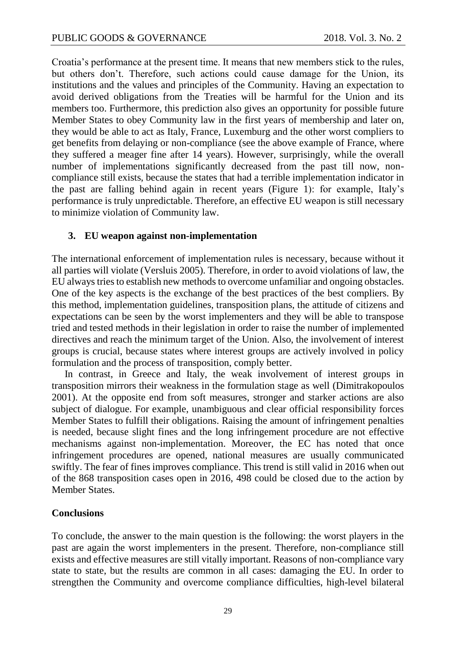Croatia's performance at the present time. It means that new members stick to the rules, but others don't. Therefore, such actions could cause damage for the Union, its institutions and the values and principles of the Community. Having an expectation to avoid derived obligations from the Treaties will be harmful for the Union and its members too. Furthermore, this prediction also gives an opportunity for possible future Member States to obey Community law in the first years of membership and later on, they would be able to act as Italy, France, Luxemburg and the other worst compliers to get benefits from delaying or non-compliance (see the above example of France, where they suffered a meager fine after 14 years). However, surprisingly, while the overall number of implementations significantly decreased from the past till now, noncompliance still exists, because the states that had a terrible implementation indicator in the past are falling behind again in recent years (Figure 1): for example, Italy's performance is truly unpredictable. Therefore, an effective EU weapon is still necessary to minimize violation of Community law.

#### **3. EU weapon against non-implementation**

The international enforcement of implementation rules is necessary, because without it all parties will violate (Versluis 2005). Therefore, in order to avoid violations of law, the EU always tries to establish new methods to overcome unfamiliar and ongoing obstacles. One of the key aspects is the exchange of the best practices of the best compliers. By this method, implementation guidelines, transposition plans, the attitude of citizens and expectations can be seen by the worst implementers and they will be able to transpose tried and tested methods in their legislation in order to raise the number of implemented directives and reach the minimum target of the Union. Also, the involvement of interest groups is crucial, because states where interest groups are actively involved in policy formulation and the process of transposition, comply better.

In contrast, in Greece and Italy, the weak involvement of interest groups in transposition mirrors their weakness in the formulation stage as well (Dimitrakopoulos 2001). At the opposite end from soft measures, stronger and starker actions are also subject of dialogue. For example, unambiguous and clear official responsibility forces Member States to fulfill their obligations. Raising the amount of infringement penalties is needed, because slight fines and the long infringement procedure are not effective mechanisms against non-implementation. Moreover, the EC has noted that once infringement procedures are opened, national measures are usually communicated swiftly. The fear of fines improves compliance. This trend is still valid in 2016 when out of the 868 transposition cases open in 2016, 498 could be closed due to the action by Member States.

#### **Conclusions**

To conclude, the answer to the main question is the following: the worst players in the past are again the worst implementers in the present. Therefore, non-compliance still exists and effective measures are still vitally important. Reasons of non-compliance vary state to state, but the results are common in all cases: damaging the EU. In order to strengthen the Community and overcome compliance difficulties, high-level bilateral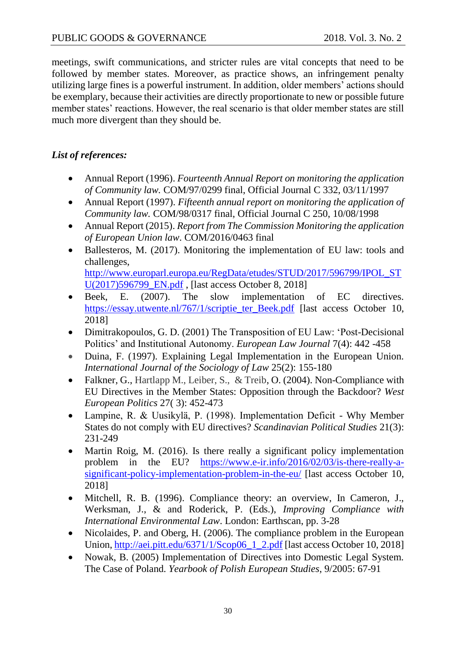meetings, swift communications, and stricter rules are vital concepts that need to be followed by member states. Moreover, as practice shows, an infringement penalty utilizing large fines is a powerful instrument. In addition, older members' actions should be exemplary, because their activities are directly proportionate to new or possible future member states' reactions. However, the real scenario is that older member states are still much more divergent than they should be.

### *List of references:*

- Annual Report (1996). *Fourteenth Annual Report on monitoring the application of Community law.* COM/97/0299 final, Official Journal C 332, 03/11/1997
- Annual Report (1997). *Fifteenth annual report on monitoring the application of Community law.* COM/98/0317 final, Official Journal C 250, 10/08/1998
- Annual Report (2015). *Report from The Commission Monitoring the application of European Union law*. COM/2016/0463 final
- Ballesteros, M. (2017). Monitoring the implementation of EU law: tools and challenges,

[http://www.europarl.europa.eu/RegData/etudes/STUD/2017/596799/IPOL\\_ST](http://www.europarl.europa.eu/RegData/etudes/STUD/2017/596799/IPOL_STU(2017)596799_EN.pdf) [U\(2017\)596799\\_EN.pdf](http://www.europarl.europa.eu/RegData/etudes/STUD/2017/596799/IPOL_STU(2017)596799_EN.pdf) , [last access October 8, 2018]

- Beek, E. (2007). The slow implementation of EC directives. [https://essay.utwente.nl/767/1/scriptie\\_ter\\_Beek.pdf](https://essay.utwente.nl/767/1/scriptie_ter_Beek.pdf) [last access October 10, 2018]
- Dimitrakopoulos, G. D. (2001) The Transposition of EU Law: 'Post-Decisional Politics' and Institutional Autonomy. *European Law Journal* 7(4): 442 -458
- Duina, F. (1997). Explaining Legal Implementation in the European Union. *International Journal of the Sociology of Law* 25(2): 155-180
- Falkner, G., Hartlapp M., Leiber, S., & Treib, O. (2004). Non-Compliance with EU Directives in the Member States: Opposition through the Backdoor? *West European Politics* 27( 3): 452-473
- Lampine, R. & Uusikylä, P. (1998). Implementation Deficit Why Member States do not comply with EU directives? *Scandinavian Political Studies* 21(3): 231-249
- Martin Roig, M. (2016). Is there really a significant policy implementation problem in the EU? [https://www.e-ir.info/2016/02/03/is-there-really-a](https://www.e-ir.info/2016/02/03/is-there-really-a-significant-policy-implementation-problem-in-the-eu/)[significant-policy-implementation-problem-in-the-eu/](https://www.e-ir.info/2016/02/03/is-there-really-a-significant-policy-implementation-problem-in-the-eu/) [last access October 10, 2018]
- Mitchell, R. B. (1996). Compliance theory: an overview, In Cameron, J., Werksman, J., & and Roderick, P. (Eds.), *Improving Compliance with International Environmental Law*. London: Earthscan, pp. 3-28
- Nicolaides, P. and Oberg, H. (2006). The compliance problem in the European Union[, http://aei.pitt.edu/6371/1/Scop06\\_1\\_2.pdf](http://aei.pitt.edu/6371/1/Scop06_1_2.pdf) [last access October 10, 2018]
- Nowak, B. (2005) Implementation of Directives into Domestic Legal System. The Case of Poland. *Yearbook of Polish European Studies*, 9/2005: 67-91